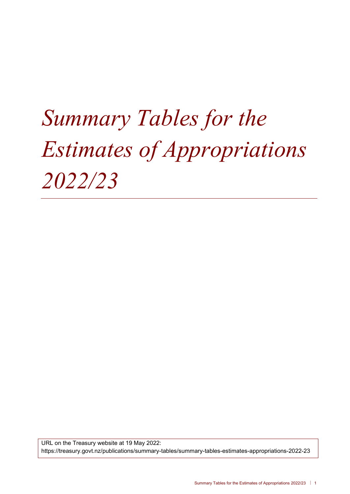# *Summary Tables for the Estimates of Appropriations 2022/23*

URL on the Treasury website at 19 May 2022: https://treasury.govt.nz/publications/summary-tables/summary-tables-estimates-appropriations-2022-23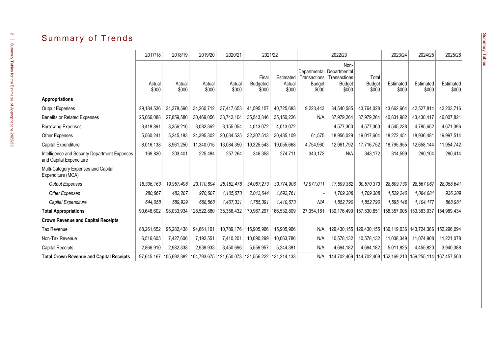# Summary of Trends

|                                                                          | 2017/18         | 2018/19         | 2019/20                                 | 2020/21                   | 2021/22                                              |                 |                                                    | 2022/23                |                        | 2023/24                                                     | 2024/25            | 2025/26            |
|--------------------------------------------------------------------------|-----------------|-----------------|-----------------------------------------|---------------------------|------------------------------------------------------|-----------------|----------------------------------------------------|------------------------|------------------------|-------------------------------------------------------------|--------------------|--------------------|
|                                                                          |                 |                 |                                         |                           | Final                                                | Estimated       | Departmental   Departmental<br><b>Transactions</b> | Non-<br>Transactions   | Total                  |                                                             |                    |                    |
|                                                                          | Actual<br>\$000 | Actual<br>\$000 | Actual<br>\$000                         | Actual<br>\$000           | <b>Budgeted</b><br>\$000                             | Actual<br>\$000 | <b>Budget</b><br>\$000                             | <b>Budget</b><br>\$000 | <b>Budget</b><br>\$000 | Estimated<br>\$000                                          | Estimated<br>\$000 | Estimated<br>\$000 |
| <b>Appropriations</b>                                                    |                 |                 |                                         |                           |                                                      |                 |                                                    |                        |                        |                                                             |                    |                    |
| Output Expenses                                                          | 29,184,536      | 31,378,590      | 34,260,712                              | 37,417,653                | 41,595,157                                           | 40,725,683      | 9,223,443                                          | 34,540,585             | 43,764,028             | 43,662,664                                                  | 42,527,814         | 42,203,716         |
| Benefits or Related Expenses                                             | 25,066,088      | 27,859,580      | 30,469,056                              | 33,742,104                | 35,543,346                                           | 35, 150, 226    | N/A                                                | 37,979,264             | 37,979,264             | 40,831,982                                                  | 43,430,417         | 46,007,821         |
| <b>Borrowing Expenses</b>                                                | 3,418,891       | 3,356,216       | 3,082,362                               | 3,155,054                 | 4,013,072                                            | 4,013,072       |                                                    | 4,577,360              | 4,577,360              | 4,545,238                                                   | 4,785,652          | 4,671,396          |
| Other Expenses                                                           | 5,560,241       | 5,245,183       | 24,395,302                              | 20,034,525                | 32,307,513                                           | 30,435,109      | 61,575                                             | 18,956,029             | 19,017,604             | 18,272,451                                                  | 18,936,481         | 19,997,514         |
| Capital Expenditure                                                      | 8,016,138       | 8,961,250       | 11,340,015                              | 13,084,350                | 19,325,543                                           | 19,055,668      | 4,754,960                                          | 12,961,792             | 17,716,752             | 18,795,955                                                  | 12,658,144         | 11,954,742         |
| Intelligence and Security Department Expenses<br>and Capital Expenditure | 169,820         | 203,401         | 225,484                                 | 257,264                   | 346,358                                              | 274,711         | 343,172                                            | N/A                    | 343,172                | 314,599                                                     | 290,104            | 290,414            |
| Multi-Category Expenses and Capital<br>Expenditure (MCA)                 |                 |                 |                                         |                           |                                                      |                 |                                                    |                        |                        |                                                             |                    |                    |
| <b>Output Expenses</b>                                                   | 18,306,163      | 19,957,498      | 23,110,694                              | 25, 152, 478              | 34,067,273                                           | 33,774,906      | 12,971,011                                         | 17,599,362             | 30,570,373             | 28,809,730                                                  | 28,567,067         | 28,058,641         |
| <b>Other Expenses</b>                                                    | 280,667         | 482,287         | 970,687                                 | 1,105,673                 | 2,013,644                                            | 1,692,761       |                                                    | 1,709,308              | 1,709,308              | 1,529,240                                                   | 1,084,081          | 936,209            |
| Capital Expenditure                                                      | 644,058         | 589.929         | 668,568                                 | 1,407,331                 | 1,755,391                                            | 1,410,673       | N/A                                                | 1,852,790              | 1,852,790              | 1,595,146                                                   | 1,104,177          | 868,981            |
| <b>Total Appropriations</b>                                              | 90,646,602      | 98,033,934      | 128,522,880                             | 135,356,432   170,967,297 |                                                      | 166,532,809     | 27,354,161                                         | 130,176,490            | 157,530,651            | 158,357,005                                                 | 153,383,937        | 154,989,434        |
| <b>Crown Revenue and Capital Receipts</b>                                |                 |                 |                                         |                           |                                                      |                 |                                                    |                        |                        |                                                             |                    |                    |
| Tax Revenue                                                              | 88,261,652      | 95,282,438      |                                         |                           | 94,661,191   110,789,176   115,905,966   115,905,966 |                 | N/A                                                |                        |                        | 129,430,155   129,430,155   136,119,036   143,724,386       |                    | 152,296,094        |
| Non-Tax Revenue                                                          | 6,516,605       | 7,427,606       | 7,192,551                               | 7,410,201                 | 10,090,299                                           | 10,063,786      | N/A                                                | 10,578,132             | 10,578,132             | 11,038,349                                                  | 11,074,908         | 11,221,078         |
| <b>Capital Receipts</b>                                                  | 2,866,910       | 2,982,338       | 2,939,933                               | 3,450,696                 | 5,559,957                                            | 5,244,381       | N/A                                                | 4,694,182              | 4,694,182              | 5,011,825                                                   | 4,455,820          | 3,940,388          |
| <b>Total Crown Revenue and Capital Receipts</b>                          | 97,645,167      | 105,692,382     | 104,793,675   121,650,073   131,556,222 |                           |                                                      | 131.214.133     | N/A                                                |                        |                        | 144,702,469 144,702,469 152,169,210 159,255,114 167,457,560 |                    |                    |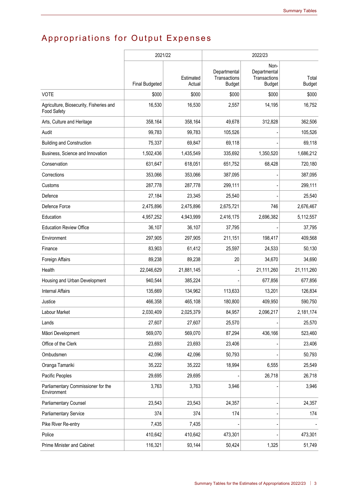# Appropriations for Output Expenses

|                                                        | 2021/22               |                     |                                               | 2022/23                                               |                        |
|--------------------------------------------------------|-----------------------|---------------------|-----------------------------------------------|-------------------------------------------------------|------------------------|
|                                                        | <b>Final Budgeted</b> | Estimated<br>Actual | Departmental<br>Transactions<br><b>Budget</b> | Non-<br>Departmental<br>Transactions<br><b>Budget</b> | Total<br><b>Budget</b> |
| <b>VOTE</b>                                            | \$000                 | \$000               | \$000                                         | \$000                                                 | \$000                  |
| Agriculture, Biosecurity, Fisheries and<br>Food Safety | 16,530                | 16,530              | 2,557                                         | 14,195                                                | 16,752                 |
| Arts, Culture and Heritage                             | 358,164               | 358,164             | 49,678                                        | 312,828                                               | 362,506                |
| Audit                                                  | 99,783                | 99,783              | 105,526                                       |                                                       | 105,526                |
| <b>Building and Construction</b>                       | 75,337                | 69,847              | 69,118                                        |                                                       | 69,118                 |
| Business, Science and Innovation                       | 1,502,436             | 1,435,549           | 335,692                                       | 1,350,520                                             | 1,686,212              |
| Conservation                                           | 631,647               | 618,051             | 651,752                                       | 68,428                                                | 720,180                |
| Corrections                                            | 353,066               | 353,066             | 387,095                                       |                                                       | 387,095                |
| Customs                                                | 287,778               | 287,778             | 299,111                                       |                                                       | 299,111                |
| Defence                                                | 27,184                | 23,345              | 25,540                                        |                                                       | 25,540                 |
| Defence Force                                          | 2,475,896             | 2,475,896           | 2,675,721                                     | 746                                                   | 2,676,467              |
| Education                                              | 4,957,252             | 4,943,999           | 2,416,175                                     | 2,696,382                                             | 5,112,557              |
| <b>Education Review Office</b>                         | 36,107                | 36,107              | 37,795                                        |                                                       | 37,795                 |
| Environment                                            | 297,905               | 297,905             | 211,151                                       | 198,417                                               | 409,568                |
| Finance                                                | 83,903                | 61,412              | 25,597                                        | 24,533                                                | 50,130                 |
| Foreign Affairs                                        | 89,238                | 89,238              | 20                                            | 34,670                                                | 34,690                 |
| Health                                                 | 22,046,629            | 21,881,145          |                                               | 21,111,260                                            | 21,111,260             |
| Housing and Urban Development                          | 940,544               | 385,224             |                                               | 677,856                                               | 677,856                |
| <b>Internal Affairs</b>                                | 135,669               | 134,962             | 113,633                                       | 13,201                                                | 126,834                |
| Justice                                                | 466,358               | 465,108             | 180,800                                       | 409,950                                               | 590,750                |
| Labour Market                                          | 2,030,409             | 2,025,379           | 84,957                                        | 2,096,217                                             | 2,181,174              |
| Lands                                                  | 27,607                | 27,607              | 25,570                                        |                                                       | 25,570                 |
| Māori Development                                      | 569,070               | 569,070             | 87,294                                        | 436,166                                               | 523,460                |
| Office of the Clerk                                    | 23,693                | 23,693              | 23,406                                        |                                                       | 23,406                 |
| Ombudsmen                                              | 42,096                | 42,096              | 50,793                                        |                                                       | 50,793                 |
| Oranga Tamariki                                        | 35,222                | 35,222              | 18,994                                        | 6,555                                                 | 25,549                 |
| Pacific Peoples                                        | 29,695                | 29,695              |                                               | 26,718                                                | 26,718                 |
| Parliamentary Commissioner for the<br>Environment      | 3,763                 | 3,763               | 3,946                                         |                                                       | 3,946                  |
| <b>Parliamentary Counsel</b>                           | 23,543                | 23,543              | 24,357                                        |                                                       | 24,357                 |
| <b>Parliamentary Service</b>                           | 374                   | 374                 | 174                                           |                                                       | 174                    |
| Pike River Re-entry                                    | 7,435                 | 7,435               |                                               |                                                       |                        |
| Police                                                 | 410,642               | 410,642             | 473,301                                       |                                                       | 473,301                |
| Prime Minister and Cabinet                             | 116,321               | 93,144              | 50,424                                        | 1,325                                                 | 51,749                 |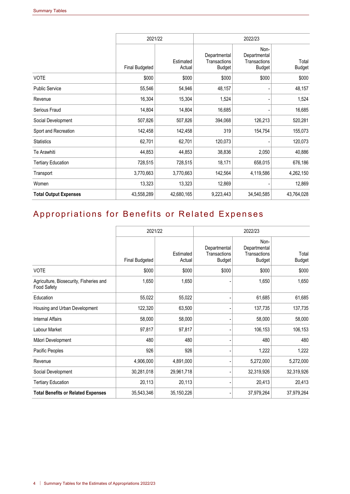|                              | 2021/22               |                     | 2022/23                                       |                                                       |                        |
|------------------------------|-----------------------|---------------------|-----------------------------------------------|-------------------------------------------------------|------------------------|
|                              | <b>Final Budgeted</b> | Estimated<br>Actual | Departmental<br>Transactions<br><b>Budget</b> | Non-<br>Departmental<br>Transactions<br><b>Budget</b> | Total<br><b>Budget</b> |
| <b>VOTE</b>                  | \$000                 | \$000               | \$000                                         | \$000                                                 | \$000                  |
| <b>Public Service</b>        | 55,546                | 54,946              | 48,157                                        |                                                       | 48,157                 |
| Revenue                      | 16,304                | 15,304              | 1,524                                         |                                                       | 1,524                  |
| Serious Fraud                | 14,804                | 14,804              | 16,685                                        |                                                       | 16,685                 |
| Social Development           | 507,826               | 507,826             | 394,068                                       | 126,213                                               | 520,281                |
| Sport and Recreation         | 142,458               | 142,458             | 319                                           | 154,754                                               | 155,073                |
| <b>Statistics</b>            | 62,701                | 62,701              | 120,073                                       |                                                       | 120,073                |
| Te Arawhiti                  | 44,853                | 44,853              | 38,836                                        | 2,050                                                 | 40,886                 |
| <b>Tertiary Education</b>    | 728,515               | 728,515             | 18,171                                        | 658,015                                               | 676,186                |
| Transport                    | 3,770,663             | 3,770,663           | 142,564                                       | 4,119,586                                             | 4,262,150              |
| Women                        | 13,323                | 13,323              | 12,869                                        |                                                       | 12,869                 |
| <b>Total Output Expenses</b> | 43,558,289            | 42,680,165          | 9,223,443                                     | 34,540,585                                            | 43,764,028             |

## Appropriations for Benefits or Related Expenses

|                                                        | 2021/22        |                     | 2022/23                                       |                                                       |                        |
|--------------------------------------------------------|----------------|---------------------|-----------------------------------------------|-------------------------------------------------------|------------------------|
|                                                        | Final Budgeted | Estimated<br>Actual | Departmental<br>Transactions<br><b>Budget</b> | Non-<br>Departmental<br>Transactions<br><b>Budget</b> | Total<br><b>Budget</b> |
| <b>VOTE</b>                                            | \$000          | \$000               | \$000                                         | \$000                                                 | \$000                  |
| Agriculture, Biosecurity, Fisheries and<br>Food Safety | 1,650          | 1,650               |                                               | 1,650                                                 | 1,650                  |
| Education                                              | 55,022         | 55,022              |                                               | 61,685                                                | 61,685                 |
| Housing and Urban Development                          | 122,320        | 63,500              |                                               | 137,735                                               | 137,735                |
| <b>Internal Affairs</b>                                | 58,000         | 58,000              |                                               | 58,000                                                | 58,000                 |
| Labour Market                                          | 97,817         | 97,817              |                                               | 106,153                                               | 106,153                |
| Māori Development                                      | 480            | 480                 |                                               | 480                                                   | 480                    |
| Pacific Peoples                                        | 926            | 926                 |                                               | 1,222                                                 | 1,222                  |
| Revenue                                                | 4,906,000      | 4,891,000           |                                               | 5,272,000                                             | 5,272,000              |
| Social Development                                     | 30,281,018     | 29,961,718          |                                               | 32,319,926                                            | 32,319,926             |
| <b>Tertiary Education</b>                              | 20,113         | 20,113              |                                               | 20,413                                                | 20,413                 |
| <b>Total Benefits or Related Expenses</b>              | 35,543,346     | 35,150,226          |                                               | 37,979,264                                            | 37,979,264             |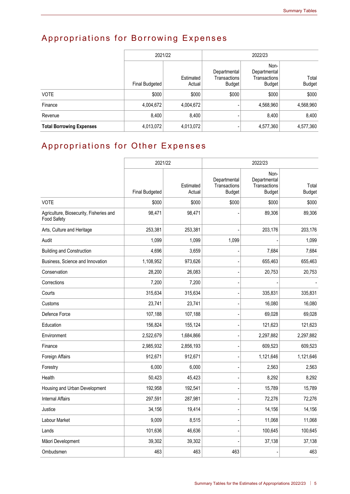# Appropriations for Borrowing Expenses

|                                 |                | 2021/22             | 2022/23                                       |                                                |                        |  |
|---------------------------------|----------------|---------------------|-----------------------------------------------|------------------------------------------------|------------------------|--|
|                                 | Final Budgeted | Estimated<br>Actual | Departmental<br>Transactions<br><b>Budget</b> | Non-<br>Departmental<br>Transactions<br>Budget | Total<br><b>Budget</b> |  |
| <b>VOTE</b>                     | \$000          | \$000               | \$000                                         | \$000                                          | \$000                  |  |
| Finance                         | 4,004,672      | 4,004,672           |                                               | 4,568,960                                      | 4,568,960              |  |
| Revenue                         | 8,400          | 8,400               |                                               | 8,400                                          | 8,400                  |  |
| <b>Total Borrowing Expenses</b> | 4,013,072      | 4,013,072           |                                               | 4,577,360                                      | 4,577,360              |  |

## Appropriations for Other Expenses

|                                                        |                       | 2021/22             | 2022/23                                       |                                                       |                        |  |
|--------------------------------------------------------|-----------------------|---------------------|-----------------------------------------------|-------------------------------------------------------|------------------------|--|
|                                                        | <b>Final Budgeted</b> | Estimated<br>Actual | Departmental<br>Transactions<br><b>Budget</b> | Non-<br>Departmental<br>Transactions<br><b>Budget</b> | Total<br><b>Budget</b> |  |
| <b>VOTE</b>                                            | \$000                 | \$000               | \$000                                         | \$000                                                 | \$000                  |  |
| Agriculture, Biosecurity, Fisheries and<br>Food Safety | 98,471                | 98,471              |                                               | 89,306                                                | 89,306                 |  |
| Arts, Culture and Heritage                             | 253,381               | 253,381             |                                               | 203,176                                               | 203,176                |  |
| Audit                                                  | 1,099                 | 1,099               | 1,099                                         |                                                       | 1,099                  |  |
| <b>Building and Construction</b>                       | 4,696                 | 3,659               |                                               | 7,684                                                 | 7,684                  |  |
| Business, Science and Innovation                       | 1,108,952             | 973,626             |                                               | 655,463                                               | 655,463                |  |
| Conservation                                           | 28,200                | 26,083              |                                               | 20,753                                                | 20,753                 |  |
| Corrections                                            | 7,200                 | 7,200               |                                               |                                                       |                        |  |
| Courts                                                 | 315,634               | 315,634             |                                               | 335,831                                               | 335,831                |  |
| Customs                                                | 23,741                | 23,741              |                                               | 16.080                                                | 16,080                 |  |
| Defence Force                                          | 107,188               | 107,188             |                                               | 69,028                                                | 69,028                 |  |
| Education                                              | 156,824               | 155,124             |                                               | 121,623                                               | 121,623                |  |
| Environment                                            | 2,522,679             | 1,684,866           |                                               | 2,297,882                                             | 2,297,882              |  |
| Finance                                                | 2,985,932             | 2,856,193           |                                               | 609,523                                               | 609,523                |  |
| Foreign Affairs                                        | 912,671               | 912,671             |                                               | 1,121,646                                             | 1,121,646              |  |
| Forestry                                               | 6,000                 | 6,000               |                                               | 2,563                                                 | 2,563                  |  |
| Health                                                 | 50,423                | 45,423              |                                               | 8,292                                                 | 8,292                  |  |
| Housing and Urban Development                          | 192,958               | 192,541             |                                               | 15,789                                                | 15,789                 |  |
| <b>Internal Affairs</b>                                | 297,591               | 287,981             |                                               | 72,276                                                | 72,276                 |  |
| Justice                                                | 34,156                | 19,414              |                                               | 14,156                                                | 14,156                 |  |
| Labour Market                                          | 9,009                 | 8,515               |                                               | 11,068                                                | 11,068                 |  |
| Lands                                                  | 101,636               | 46,636              |                                               | 100,645                                               | 100,645                |  |
| Māori Development                                      | 39,302                | 39,302              |                                               | 37,138                                                | 37,138                 |  |
| Ombudsmen                                              | 463                   | 463                 | 463                                           |                                                       | 463                    |  |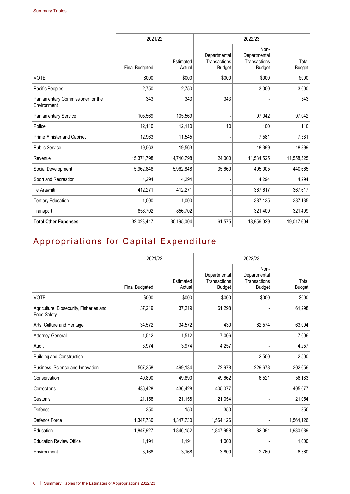|                                                   | 2021/22        |                     | 2022/23                                       |                                                       |                        |  |
|---------------------------------------------------|----------------|---------------------|-----------------------------------------------|-------------------------------------------------------|------------------------|--|
|                                                   | Final Budgeted | Estimated<br>Actual | Departmental<br>Transactions<br><b>Budget</b> | Non-<br>Departmental<br>Transactions<br><b>Budget</b> | Total<br><b>Budget</b> |  |
| <b>VOTE</b>                                       | \$000          | \$000               | \$000                                         | \$000                                                 | \$000                  |  |
| Pacific Peoples                                   | 2,750          | 2,750               |                                               | 3,000                                                 | 3,000                  |  |
| Parliamentary Commissioner for the<br>Environment | 343            | 343                 | 343                                           |                                                       | 343                    |  |
| <b>Parliamentary Service</b>                      | 105,569        | 105,569             |                                               | 97,042                                                | 97,042                 |  |
| Police                                            | 12,110         | 12,110              | 10                                            | 100                                                   | 110                    |  |
| Prime Minister and Cabinet                        | 12,963         | 11,545              |                                               | 7,581                                                 | 7,581                  |  |
| <b>Public Service</b>                             | 19,563         | 19,563              |                                               | 18,399                                                | 18,399                 |  |
| Revenue                                           | 15,374,798     | 14,740,798          | 24,000                                        | 11,534,525                                            | 11,558,525             |  |
| Social Development                                | 5,962,848      | 5,962,848           | 35,660                                        | 405,005                                               | 440,665                |  |
| Sport and Recreation                              | 4,294          | 4,294               |                                               | 4,294                                                 | 4,294                  |  |
| Te Arawhiti                                       | 412,271        | 412,271             |                                               | 367,617                                               | 367,617                |  |
| <b>Tertiary Education</b>                         | 1,000          | 1,000               |                                               | 387,135                                               | 387,135                |  |
| Transport                                         | 856,702        | 856,702             |                                               | 321,409                                               | 321,409                |  |
| <b>Total Other Expenses</b>                       | 32,023,417     | 30,195,004          | 61,575                                        | 18,956,029                                            | 19,017,604             |  |

## Appropriations for Capital Expenditure

|                                                        | 2021/22               |                     | 2022/23                                       |                                                       |                        |
|--------------------------------------------------------|-----------------------|---------------------|-----------------------------------------------|-------------------------------------------------------|------------------------|
|                                                        | <b>Final Budgeted</b> | Estimated<br>Actual | Departmental<br>Transactions<br><b>Budget</b> | Non-<br>Departmental<br>Transactions<br><b>Budget</b> | Total<br><b>Budget</b> |
| <b>VOTE</b>                                            | \$000                 | \$000               | \$000                                         | \$000                                                 | \$000                  |
| Agriculture, Biosecurity, Fisheries and<br>Food Safety | 37,219                | 37,219              | 61,298                                        |                                                       | 61,298                 |
| Arts, Culture and Heritage                             | 34,572                | 34,572              | 430                                           | 62,574                                                | 63,004                 |
| Attorney-General                                       | 1,512                 | 1,512               | 7,006                                         |                                                       | 7,006                  |
| Audit                                                  | 3,974                 | 3,974               | 4,257                                         |                                                       | 4,257                  |
| <b>Building and Construction</b>                       |                       |                     |                                               | 2,500                                                 | 2,500                  |
| Business, Science and Innovation                       | 567,358               | 499,134             | 72,978                                        | 229,678                                               | 302,656                |
| Conservation                                           | 49,890                | 49,890              | 49,662                                        | 6,521                                                 | 56,183                 |
| Corrections                                            | 436,428               | 436,428             | 405,077                                       |                                                       | 405,077                |
| Customs                                                | 21,158                | 21,158              | 21,054                                        |                                                       | 21,054                 |
| Defence                                                | 350                   | 150                 | 350                                           |                                                       | 350                    |
| Defence Force                                          | 1,347,730             | 1,347,730           | 1,564,126                                     |                                                       | 1,564,126              |
| Education                                              | 1,847,927             | 1,846,152           | 1,847,998                                     | 82,091                                                | 1,930,089              |
| <b>Education Review Office</b>                         | 1,191                 | 1,191               | 1,000                                         |                                                       | 1,000                  |
| Environment                                            | 3,168                 | 3,168               | 3,800                                         | 2,760                                                 | 6,560                  |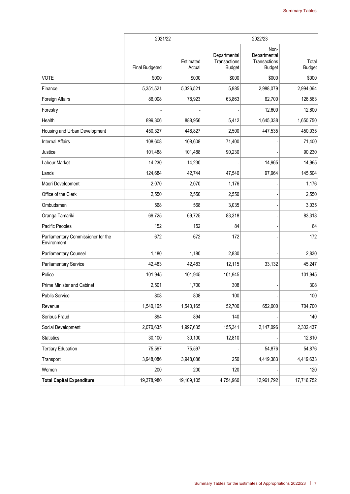|                                                   | 2021/22               |                     | 2022/23                                       |                                                       |                        |  |
|---------------------------------------------------|-----------------------|---------------------|-----------------------------------------------|-------------------------------------------------------|------------------------|--|
|                                                   | <b>Final Budgeted</b> | Estimated<br>Actual | Departmental<br>Transactions<br><b>Budget</b> | Non-<br>Departmental<br>Transactions<br><b>Budget</b> | Total<br><b>Budget</b> |  |
| <b>VOTE</b>                                       | \$000                 | \$000               | \$000                                         | \$000                                                 | \$000                  |  |
| Finance                                           | 5,351,521             | 5,326,521           | 5,985                                         | 2,988,079                                             | 2,994,064              |  |
| Foreign Affairs                                   | 86,008                | 78,923              | 63,863                                        | 62,700                                                | 126,563                |  |
| Forestry                                          |                       |                     |                                               | 12,600                                                | 12,600                 |  |
| Health                                            | 899,306               | 888,956             | 5,412                                         | 1,645,338                                             | 1,650,750              |  |
| Housing and Urban Development                     | 450,327               | 448,827             | 2,500                                         | 447,535                                               | 450,035                |  |
| <b>Internal Affairs</b>                           | 108,608               | 108,608             | 71,400                                        |                                                       | 71,400                 |  |
| Justice                                           | 101,488               | 101,488             | 90,230                                        |                                                       | 90,230                 |  |
| Labour Market                                     | 14,230                | 14,230              |                                               | 14,965                                                | 14,965                 |  |
| Lands                                             | 124,684               | 42,744              | 47,540                                        | 97,964                                                | 145,504                |  |
| Māori Development                                 | 2,070                 | 2,070               | 1,176                                         |                                                       | 1,176                  |  |
| Office of the Clerk                               | 2,550                 | 2,550               | 2,550                                         |                                                       | 2,550                  |  |
| Ombudsmen                                         | 568                   | 568                 | 3,035                                         |                                                       | 3,035                  |  |
| Oranga Tamariki                                   | 69,725                | 69,725              | 83,318                                        |                                                       | 83,318                 |  |
| Pacific Peoples                                   | 152                   | 152                 | 84                                            |                                                       | 84                     |  |
| Parliamentary Commissioner for the<br>Environment | 672                   | 672                 | 172                                           |                                                       | 172                    |  |
| <b>Parliamentary Counsel</b>                      | 1,180                 | 1,180               | 2,830                                         |                                                       | 2,830                  |  |
| <b>Parliamentary Service</b>                      | 42,483                | 42,483              | 12,115                                        | 33,132                                                | 45,247                 |  |
| Police                                            | 101,945               | 101,945             | 101,945                                       |                                                       | 101,945                |  |
| Prime Minister and Cabinet                        | 2,501                 | 1,700               | 308                                           |                                                       | 308                    |  |
| Public Service                                    | 808                   | 808                 | 100                                           |                                                       | 100                    |  |
| Revenue                                           | 1,540,165             | 1,540,165           | 52,700                                        | 652,000                                               | 704,700                |  |
| Serious Fraud                                     | 894                   | 894                 | 140                                           |                                                       | 140                    |  |
| Social Development                                | 2,070,635             | 1,997,635           | 155,341                                       | 2,147,096                                             | 2,302,437              |  |
| <b>Statistics</b>                                 | 30,100                | 30,100              | 12,810                                        |                                                       | 12,810                 |  |
| <b>Tertiary Education</b>                         | 75,597                | 75,597              |                                               | 54,876                                                | 54,876                 |  |
| Transport                                         | 3,948,086             | 3,948,086           | 250                                           | 4,419,383                                             | 4,419,633              |  |
| Women                                             | 200                   | 200                 | 120                                           |                                                       | 120                    |  |
| <b>Total Capital Expenditure</b>                  | 19,378,980            | 19,109,105          | 4,754,960                                     | 12,961,792                                            | 17,716,752             |  |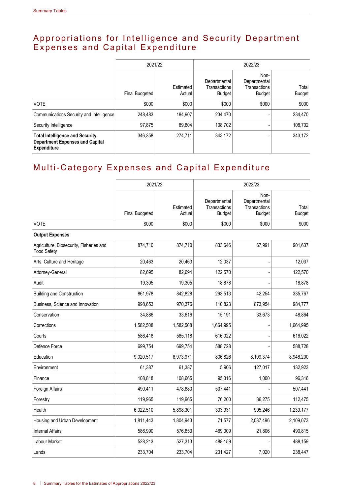#### Appropriations for Intelligence and Security Department Expenses and Capital Expenditure

|                                                                                                        |                | 2021/22             | 2022/23                                       |                                                |                        |
|--------------------------------------------------------------------------------------------------------|----------------|---------------------|-----------------------------------------------|------------------------------------------------|------------------------|
|                                                                                                        | Final Budgeted | Estimated<br>Actual | Departmental<br><b>Transactions</b><br>Budget | Non-<br>Departmental<br>Transactions<br>Budget | Total<br><b>Budget</b> |
| <b>VOTE</b>                                                                                            | \$000          | \$000               | \$000                                         | \$000                                          | \$000                  |
| Communications Security and Intelligence                                                               | 248,483        | 184,907             | 234.470                                       |                                                | 234,470                |
| Security Intelligence                                                                                  | 97,875         | 89,804              | 108.702                                       |                                                | 108,702                |
| <b>Total Intelligence and Security</b><br><b>Department Expenses and Capital</b><br><b>Expenditure</b> | 346,358        | 274.711             | 343.172                                       |                                                | 343,172                |

### Multi-Category Expenses and Capital Expenditure

|                                                        | 2021/22               |                     | 2022/23                                       |                                                       |                        |
|--------------------------------------------------------|-----------------------|---------------------|-----------------------------------------------|-------------------------------------------------------|------------------------|
|                                                        | <b>Final Budgeted</b> | Estimated<br>Actual | Departmental<br>Transactions<br><b>Budget</b> | Non-<br>Departmental<br>Transactions<br><b>Budget</b> | Total<br><b>Budget</b> |
| <b>VOTE</b>                                            | \$000                 | \$000               | \$000                                         | \$000                                                 | \$000                  |
| <b>Output Expenses</b>                                 |                       |                     |                                               |                                                       |                        |
| Agriculture, Biosecurity, Fisheries and<br>Food Safety | 874,710               | 874,710             | 833,646                                       | 67,991                                                | 901,637                |
| Arts, Culture and Heritage                             | 20,463                | 20,463              | 12,037                                        |                                                       | 12,037                 |
| Attorney-General                                       | 82,695                | 82,694              | 122,570                                       |                                                       | 122,570                |
| Audit                                                  | 19,305                | 19,305              | 18,878                                        |                                                       | 18,878                 |
| <b>Building and Construction</b>                       | 861,978               | 842,828             | 293,513                                       | 42,254                                                | 335,767                |
| Business, Science and Innovation                       | 998,653               | 970,376             | 110,823                                       | 873,954                                               | 984,777                |
| Conservation                                           | 34,886                | 33,616              | 15,191                                        | 33,673                                                | 48,864                 |
| Corrections                                            | 1,582,508             | 1,582,508           | 1,664,995                                     |                                                       | 1,664,995              |
| Courts                                                 | 586,418               | 585,118             | 616,022                                       |                                                       | 616,022                |
| Defence Force                                          | 699,754               | 699,754             | 588,728                                       |                                                       | 588,728                |
| Education                                              | 9,020,517             | 8,973,971           | 836,826                                       | 8,109,374                                             | 8,946,200              |
| Environment                                            | 61,387                | 61,387              | 5,906                                         | 127,017                                               | 132,923                |
| Finance                                                | 108,818               | 108,665             | 95,316                                        | 1,000                                                 | 96,316                 |
| Foreign Affairs                                        | 490,411               | 478,880             | 507,441                                       |                                                       | 507,441                |
| Forestry                                               | 119,965               | 119,965             | 76,200                                        | 36,275                                                | 112,475                |
| Health                                                 | 6,022,510             | 5,898,301           | 333,931                                       | 905,246                                               | 1,239,177              |
| Housing and Urban Development                          | 1,811,443             | 1,804,943           | 71,577                                        | 2,037,496                                             | 2,109,073              |
| <b>Internal Affairs</b>                                | 586,990               | 576,853             | 469,009                                       | 21,806                                                | 490,815                |
| Labour Market                                          | 528,213               | 527,313             | 488,159                                       |                                                       | 488,159                |
| Lands                                                  | 233,704               | 233,704             | 231,427                                       | 7,020                                                 | 238,447                |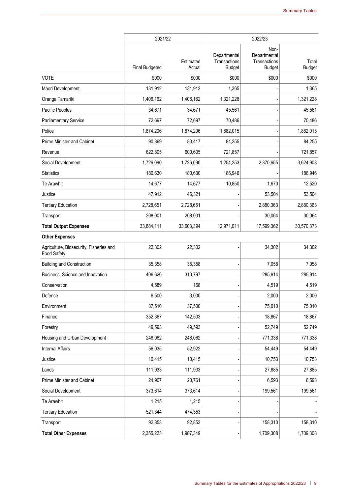|                                                        | 2021/22               |                     |                                               | 2022/23                                               |                        |  |
|--------------------------------------------------------|-----------------------|---------------------|-----------------------------------------------|-------------------------------------------------------|------------------------|--|
|                                                        | <b>Final Budgeted</b> | Estimated<br>Actual | Departmental<br>Transactions<br><b>Budget</b> | Non-<br>Departmental<br>Transactions<br><b>Budget</b> | Total<br><b>Budget</b> |  |
| <b>VOTE</b>                                            | \$000                 | \$000               | \$000                                         | \$000                                                 | \$000                  |  |
| Māori Development                                      | 131,912               | 131,912             | 1,365                                         |                                                       | 1,365                  |  |
| Oranga Tamariki                                        | 1,406,162             | 1,406,162           | 1,321,228                                     |                                                       | 1,321,228              |  |
| Pacific Peoples                                        | 34,671                | 34,671              | 45,561                                        |                                                       | 45,561                 |  |
| <b>Parliamentary Service</b>                           | 72,697                | 72,697              | 70,486                                        |                                                       | 70,486                 |  |
| Police                                                 | 1,874,206             | 1,874,206           | 1,882,015                                     |                                                       | 1,882,015              |  |
| Prime Minister and Cabinet                             | 90,369                | 83,417              | 84,255                                        |                                                       | 84,255                 |  |
| Revenue                                                | 622,805               | 600,605             | 721,857                                       |                                                       | 721,857                |  |
| Social Development                                     | 1,726,090             | 1,726,090           | 1,254,253                                     | 2,370,655                                             | 3,624,908              |  |
| <b>Statistics</b>                                      | 180,630               | 180,630             | 186,946                                       |                                                       | 186,946                |  |
| Te Arawhiti                                            | 14,677                | 14,677              | 10,850                                        | 1,670                                                 | 12,520                 |  |
| Justice                                                | 47,912                | 46,321              |                                               | 53,504                                                | 53,504                 |  |
| <b>Tertiary Education</b>                              | 2,728,651             | 2,728,651           |                                               | 2,880,363                                             | 2,880,363              |  |
| Transport                                              | 208,001               | 208,001             |                                               | 30,064                                                | 30,064                 |  |
| <b>Total Output Expenses</b>                           | 33,884,111            | 33,603,394          | 12,971,011                                    | 17,599,362                                            | 30,570,373             |  |
| <b>Other Expenses</b>                                  |                       |                     |                                               |                                                       |                        |  |
| Agriculture, Biosecurity, Fisheries and<br>Food Safety | 22,302                | 22,302              |                                               | 34,302                                                | 34,302                 |  |
| <b>Building and Construction</b>                       | 35,358                | 35,358              |                                               | 7,058                                                 | 7,058                  |  |
| Business, Science and Innovation                       | 406,626               | 310,797             |                                               | 285,914                                               | 285,914                |  |
| Conservation                                           | 4,589                 | 168                 |                                               | 4,519                                                 | 4,519                  |  |
| Defence                                                | 6,500                 | 3,000               |                                               | 2,000                                                 | 2,000                  |  |
| Environment                                            | 37,510                | 37,500              |                                               | 75,010                                                | 75,010                 |  |
| Finance                                                | 352,367               | 142,503             |                                               | 18,867                                                | 18,867                 |  |
| Forestry                                               | 49,593                | 49,593              |                                               | 52,749                                                | 52,749                 |  |
| Housing and Urban Development                          | 248,062               | 248,062             |                                               | 771,338                                               | 771,338                |  |
| <b>Internal Affairs</b>                                | 56,035                | 52,922              |                                               | 54,449                                                | 54,449                 |  |
| Justice                                                | 10,415                | 10,415              |                                               | 10,753                                                | 10,753                 |  |
| Lands                                                  | 111,933               | 111,933             |                                               | 27,885                                                | 27,885                 |  |
| Prime Minister and Cabinet                             | 24,907                | 20,761              |                                               | 6,593                                                 | 6,593                  |  |
| Social Development                                     | 373,614               | 373,614             |                                               | 199,561                                               | 199,561                |  |
| Te Arawhiti                                            | 1,215                 | 1,215               |                                               |                                                       |                        |  |
| <b>Tertiary Education</b>                              | 521,344               | 474,353             |                                               |                                                       |                        |  |
| Transport                                              | 92,853                | 92,853              |                                               | 158,310                                               | 158,310                |  |
| <b>Total Other Expenses</b>                            | 2,355,223             | 1,987,349           |                                               | 1,709,308                                             | 1,709,308              |  |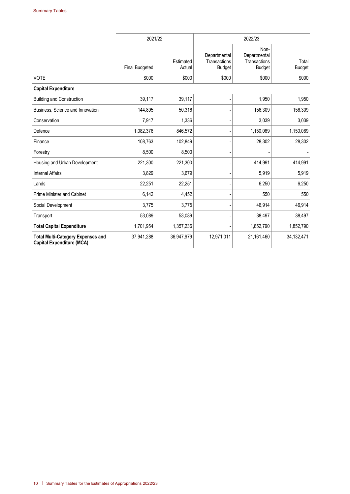|                                                                              | 2021/22               |                     | 2022/23                                       |                                                       |                        |
|------------------------------------------------------------------------------|-----------------------|---------------------|-----------------------------------------------|-------------------------------------------------------|------------------------|
|                                                                              | <b>Final Budgeted</b> | Estimated<br>Actual | Departmental<br>Transactions<br><b>Budget</b> | Non-<br>Departmental<br>Transactions<br><b>Budget</b> | Total<br><b>Budget</b> |
| <b>VOTE</b>                                                                  | \$000                 | \$000               | \$000                                         | \$000                                                 | \$000                  |
| <b>Capital Expenditure</b>                                                   |                       |                     |                                               |                                                       |                        |
| <b>Building and Construction</b>                                             | 39,117                | 39,117              |                                               | 1,950                                                 | 1,950                  |
| Business, Science and Innovation                                             | 144,895               | 50,316              |                                               | 156,309                                               | 156,309                |
| Conservation                                                                 | 7,917                 | 1,336               |                                               | 3,039                                                 | 3,039                  |
| Defence                                                                      | 1,082,376             | 846,572             |                                               | 1,150,069                                             | 1,150,069              |
| Finance                                                                      | 108,763               | 102,849             |                                               | 28,302                                                | 28,302                 |
| Forestry                                                                     | 8,500                 | 8,500               |                                               |                                                       |                        |
| Housing and Urban Development                                                | 221,300               | 221,300             |                                               | 414,991                                               | 414,991                |
| <b>Internal Affairs</b>                                                      | 3,829                 | 3,679               |                                               | 5,919                                                 | 5,919                  |
| Lands                                                                        | 22,251                | 22,251              |                                               | 6,250                                                 | 6,250                  |
| <b>Prime Minister and Cabinet</b>                                            | 6,142                 | 4,452               |                                               | 550                                                   | 550                    |
| Social Development                                                           | 3,775                 | 3,775               |                                               | 46,914                                                | 46,914                 |
| Transport                                                                    | 53,089                | 53,089              |                                               | 38,497                                                | 38,497                 |
| <b>Total Capital Expenditure</b>                                             | 1,701,954             | 1,357,236           |                                               | 1,852,790                                             | 1,852,790              |
| <b>Total Multi-Category Expenses and</b><br><b>Capital Expenditure (MCA)</b> | 37,941,288            | 36,947,979          | 12,971,011                                    | 21,161,460                                            | 34,132,471             |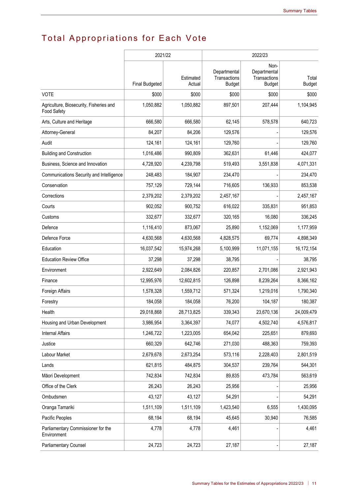# Total Appropriations for Each Vote

|                                                        | 2021/22               |                     |                                               | 2022/23                                               |                        |
|--------------------------------------------------------|-----------------------|---------------------|-----------------------------------------------|-------------------------------------------------------|------------------------|
|                                                        | <b>Final Budgeted</b> | Estimated<br>Actual | Departmental<br>Transactions<br><b>Budget</b> | Non-<br>Departmental<br>Transactions<br><b>Budget</b> | Total<br><b>Budget</b> |
| <b>VOTE</b>                                            | \$000                 | \$000               | \$000                                         | \$000                                                 | \$000                  |
| Agriculture, Biosecurity, Fisheries and<br>Food Safety | 1,050,882             | 1,050,882           | 897,501                                       | 207,444                                               | 1,104,945              |
| Arts, Culture and Heritage                             | 666,580               | 666,580             | 62,145                                        | 578,578                                               | 640,723                |
| Attorney-General                                       | 84,207                | 84,206              | 129,576                                       |                                                       | 129,576                |
| Audit                                                  | 124,161               | 124,161             | 129,760                                       |                                                       | 129,760                |
| <b>Building and Construction</b>                       | 1,016,486             | 990,809             | 362,631                                       | 61,446                                                | 424,077                |
| Business, Science and Innovation                       | 4,728,920             | 4,239,798           | 519,493                                       | 3,551,838                                             | 4,071,331              |
| Communications Security and Intelligence               | 248,483               | 184,907             | 234,470                                       |                                                       | 234,470                |
| Conservation                                           | 757,129               | 729,144             | 716,605                                       | 136,933                                               | 853,538                |
| Corrections                                            | 2,379,202             | 2,379,202           | 2,457,167                                     |                                                       | 2,457,167              |
| Courts                                                 | 902,052               | 900,752             | 616,022                                       | 335,831                                               | 951,853                |
| Customs                                                | 332,677               | 332,677             | 320,165                                       | 16,080                                                | 336,245                |
| Defence                                                | 1,116,410             | 873,067             | 25,890                                        | 1,152,069                                             | 1,177,959              |
| Defence Force                                          | 4,630,568             | 4,630,568           | 4,828,575                                     | 69,774                                                | 4,898,349              |
| Education                                              | 16,037,542            | 15,974,268          | 5,100,999                                     | 11,071,155                                            | 16, 172, 154           |
| <b>Education Review Office</b>                         | 37,298                | 37,298              | 38,795                                        |                                                       | 38,795                 |
| Environment                                            | 2,922,649             | 2,084,826           | 220,857                                       | 2,701,086                                             | 2,921,943              |
| Finance                                                | 12,995,976            | 12,602,815          | 126,898                                       | 8,239,264                                             | 8,366,162              |
| Foreign Affairs                                        | 1,578,328             | 1,559,712           | 571,324                                       | 1,219,016                                             | 1,790,340              |
| Forestry                                               | 184,058               | 184,058             | 76,200                                        | 104,187                                               | 180,387                |
| Health                                                 | 29,018,868            | 28,713,825          | 339,343                                       | 23,670,136                                            | 24,009,479             |
| Housing and Urban Development                          | 3,986,954             | 3,364,397           | 74,077                                        | 4,502,740                                             | 4,576,817              |
| <b>Internal Affairs</b>                                | 1,246,722             | 1,223,005           | 654,042                                       | 225,651                                               | 879,693                |
| Justice                                                | 660,329               | 642,746             | 271,030                                       | 488,363                                               | 759,393                |
| Labour Market                                          | 2,679,678             | 2,673,254           | 573,116                                       | 2,228,403                                             | 2,801,519              |
| Lands                                                  | 621,815               | 484,875             | 304,537                                       | 239,764                                               | 544,301                |
| Māori Development                                      | 742,834               | 742,834             | 89,835                                        | 473,784                                               | 563,619                |
| Office of the Clerk                                    | 26,243                | 26,243              | 25,956                                        |                                                       | 25,956                 |
| Ombudsmen                                              | 43,127                | 43,127              | 54,291                                        |                                                       | 54,291                 |
| Oranga Tamariki                                        | 1,511,109             | 1,511,109           | 1,423,540                                     | 6,555                                                 | 1,430,095              |
| Pacific Peoples                                        | 68,194                | 68,194              | 45,645                                        | 30,940                                                | 76,585                 |
| Parliamentary Commissioner for the<br>Environment      | 4,778                 | 4,778               | 4,461                                         |                                                       | 4,461                  |
| <b>Parliamentary Counsel</b>                           | 24,723                | 24,723              | 27,187                                        |                                                       | 27,187                 |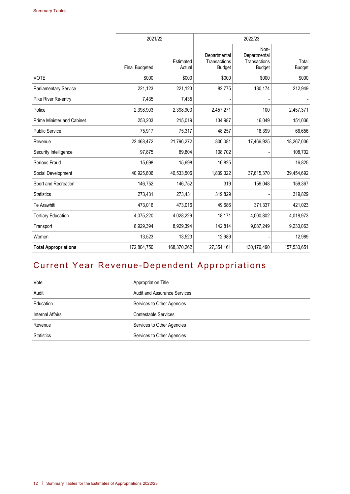|                                   | 2021/22               |                     | 2022/23                                       |                                                       |                        |
|-----------------------------------|-----------------------|---------------------|-----------------------------------------------|-------------------------------------------------------|------------------------|
|                                   | <b>Final Budgeted</b> | Estimated<br>Actual | Departmental<br>Transactions<br><b>Budget</b> | Non-<br>Departmental<br>Transactions<br><b>Budget</b> | Total<br><b>Budget</b> |
| <b>VOTE</b>                       | \$000                 | \$000               | \$000                                         | \$000                                                 | \$000                  |
| <b>Parliamentary Service</b>      | 221,123               | 221,123             | 82,775                                        | 130,174                                               | 212,949                |
| Pike River Re-entry               | 7,435                 | 7,435               |                                               |                                                       |                        |
| Police                            | 2,398,903             | 2,398,903           | 2,457,271                                     | 100                                                   | 2,457,371              |
| <b>Prime Minister and Cabinet</b> | 253,203               | 215,019             | 134,987                                       | 16,049                                                | 151,036                |
| <b>Public Service</b>             | 75,917                | 75,317              | 48,257                                        | 18,399                                                | 66,656                 |
| Revenue                           | 22,468,472            | 21,796,272          | 800,081                                       | 17,466,925                                            | 18,267,006             |
| Security Intelligence             | 97,875                | 89,804              | 108,702                                       |                                                       | 108,702                |
| Serious Fraud                     | 15,698                | 15,698              | 16,825                                        |                                                       | 16,825                 |
| Social Development                | 40,925,806            | 40,533,506          | 1,839,322                                     | 37,615,370                                            | 39,454,692             |
| Sport and Recreation              | 146,752               | 146,752             | 319                                           | 159,048                                               | 159,367                |
| Statistics                        | 273,431               | 273,431             | 319,829                                       |                                                       | 319,829                |
| Te Arawhiti                       | 473,016               | 473,016             | 49.686                                        | 371,337                                               | 421,023                |
| <b>Tertiary Education</b>         | 4,075,220             | 4,028,229           | 18,171                                        | 4,000,802                                             | 4,018,973              |
| Transport                         | 8,929,394             | 8,929,394           | 142,814                                       | 9,087,249                                             | 9,230,063              |
| Women                             | 13,523                | 13,523              | 12,989                                        |                                                       | 12,989                 |
| <b>Total Appropriations</b>       | 172,804,750           | 168,370,262         | 27,354,161                                    | 130,176,490                                           | 157,530,651            |

## Current Year Revenue-Dependent Appropriations

| Vote              | <b>Appropriation Title</b>          |
|-------------------|-------------------------------------|
| Audit             | <b>Audit and Assurance Services</b> |
| Education         | Services to Other Agencies          |
| Internal Affairs  | Contestable Services                |
| Revenue           | Services to Other Agencies          |
| <b>Statistics</b> | Services to Other Agencies          |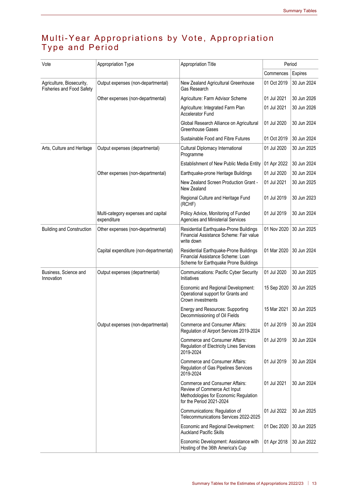#### Multi-Year Appropriations by Vote, Appropriation Type and Period

| Vote                                                          | Appropriation Type                                 | <b>Appropriation Title</b>                                                                                                          | Period      |                |  |
|---------------------------------------------------------------|----------------------------------------------------|-------------------------------------------------------------------------------------------------------------------------------------|-------------|----------------|--|
|                                                               |                                                    |                                                                                                                                     | Commences   | <b>Expires</b> |  |
| Agriculture, Biosecurity,<br><b>Fisheries and Food Safety</b> | Output expenses (non-departmental)                 | New Zealand Agricultural Greenhouse<br>Gas Research                                                                                 | 01 Oct 2019 | 30 Jun 2024    |  |
|                                                               | Other expenses (non-departmental)                  | Agriculture: Farm Advisor Scheme                                                                                                    | 01 Jul 2021 | 30 Jun 2026    |  |
|                                                               |                                                    | Agriculture: Integrated Farm Plan<br><b>Accelerator Fund</b>                                                                        | 01 Jul 2021 | 30 Jun 2026    |  |
|                                                               |                                                    | Global Research Alliance on Agricultural<br>Greenhouse Gases                                                                        | 01 Jul 2020 | 30 Jun 2024    |  |
|                                                               |                                                    | Sustainable Food and Fibre Futures                                                                                                  | 01 Oct 2019 | 30 Jun 2024    |  |
| Arts, Culture and Heritage                                    | Output expenses (departmental)                     | Cultural Diplomacy International<br>Programme                                                                                       | 01 Jul 2020 | 30 Jun 2025    |  |
|                                                               |                                                    | Establishment of New Public Media Entity                                                                                            | 01 Apr 2022 | 30 Jun 2024    |  |
|                                                               | Other expenses (non-departmental)                  | Earthquake-prone Heritage Buildings                                                                                                 | 01 Jul 2020 | 30 Jun 2024    |  |
|                                                               |                                                    | New Zealand Screen Production Grant -<br>New Zealand                                                                                | 01 Jul 2021 | 30 Jun 2025    |  |
|                                                               |                                                    | Regional Culture and Heritage Fund<br>(RCHF)                                                                                        | 01 Jul 2019 | 30 Jun 2023    |  |
|                                                               | Multi-category expenses and capital<br>expenditure | Policy Advice, Monitoring of Funded<br>Agencies and Ministerial Services                                                            | 01 Jul 2019 | 30 Jun 2024    |  |
| <b>Building and Construction</b>                              | Other expenses (non-departmental)                  | Residential Earthquake-Prone Buildings<br>Financial Assistance Scheme: Fair value<br>write down                                     | 01 Nov 2020 | 30 Jun 2025    |  |
|                                                               | Capital expenditure (non-departmental)             | Residential Earthquake-Prone Buildings<br>Financial Assistance Scheme: Loan<br>Scheme for Earthquake Prone Buildings                | 01 Mar 2020 | 30 Jun 2024    |  |
| Business, Science and<br>Innovation                           | Output expenses (departmental)                     | <b>Communications: Pacific Cyber Security</b><br>Initiatives                                                                        | 01 Jul 2020 | 30 Jun 2025    |  |
|                                                               |                                                    | Economic and Regional Development:<br>Operational support for Grants and<br>Crown investments                                       | 15 Sep 2020 | 30 Jun 2025    |  |
|                                                               |                                                    | Energy and Resources: Supporting<br>Decommissioning of Oil Fields                                                                   | 15 Mar 2021 | 30 Jun 2025    |  |
|                                                               | Output expenses (non-departmental)                 | Commerce and Consumer Affairs:<br>Regulation of Airport Services 2019-2024                                                          | 01 Jul 2019 | 30 Jun 2024    |  |
|                                                               |                                                    | Commerce and Consumer Affairs:<br>Regulation of Electricity Lines Services<br>2019-2024                                             | 01 Jul 2019 | 30 Jun 2024    |  |
|                                                               |                                                    | <b>Commerce and Consumer Affairs:</b><br>Regulation of Gas Pipelines Services<br>2019-2024                                          | 01 Jul 2019 | 30 Jun 2024    |  |
|                                                               |                                                    | Commerce and Consumer Affairs:<br>Review of Commerce Act Input<br>Methodologies for Economic Regulation<br>for the Period 2021-2024 | 01 Jul 2021 | 30 Jun 2024    |  |
|                                                               |                                                    | Communications: Regulation of<br>Telecommunications Services 2022-2025                                                              | 01 Jul 2022 | 30 Jun 2025    |  |
|                                                               |                                                    | Economic and Regional Development:<br><b>Auckland Pacific Skills</b>                                                                | 01 Dec 2020 | 30 Jun 2025    |  |
|                                                               |                                                    | Economic Development: Assistance with<br>Hosting of the 36th America's Cup                                                          | 01 Apr 2018 | 30 Jun 2022    |  |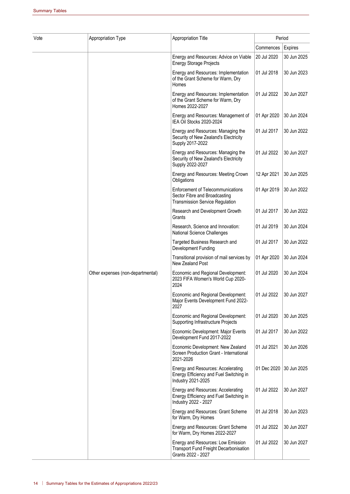| Vote | Appropriation Type                | <b>Appropriation Title</b>                                                                                          | Period      |             |
|------|-----------------------------------|---------------------------------------------------------------------------------------------------------------------|-------------|-------------|
|      |                                   |                                                                                                                     | Commences   | Expires     |
|      |                                   | Energy and Resources: Advice on Viable<br><b>Energy Storage Projects</b>                                            | 20 Jul 2020 | 30 Jun 2025 |
|      |                                   | Energy and Resources: Implementation<br>of the Grant Scheme for Warm, Dry<br>Homes                                  | 01 Jul 2018 | 30 Jun 2023 |
|      |                                   | Energy and Resources: Implementation<br>of the Grant Scheme for Warm, Dry<br>Homes 2022-2027                        | 01 Jul 2022 | 30 Jun 2027 |
|      |                                   | Energy and Resources: Management of<br>IEA Oil Stocks 2020-2024                                                     | 01 Apr 2020 | 30 Jun 2024 |
|      |                                   | Energy and Resources: Managing the<br>Security of New Zealand's Electricity<br>Supply 2017-2022                     | 01 Jul 2017 | 30 Jun 2022 |
|      |                                   | Energy and Resources: Managing the<br>Security of New Zealand's Electricity<br>Supply 2022-2027                     | 01 Jul 2022 | 30 Jun 2027 |
|      |                                   | Energy and Resources: Meeting Crown<br>Obligations                                                                  | 12 Apr 2021 | 30 Jun 2025 |
|      |                                   | <b>Enforcement of Telecommunications</b><br>Sector Fibre and Broadcasting<br><b>Transmission Service Regulation</b> | 01 Apr 2019 | 30 Jun 2022 |
|      |                                   | Research and Development Growth<br>Grants                                                                           | 01 Jul 2017 | 30 Jun 2022 |
|      |                                   | Research, Science and Innovation:<br><b>National Science Challenges</b>                                             | 01 Jul 2019 | 30 Jun 2024 |
|      |                                   | Targeted Business Research and<br>Development Funding                                                               | 01 Jul 2017 | 30 Jun 2022 |
|      |                                   | Transitional provision of mail services by<br>New Zealand Post                                                      | 01 Apr 2020 | 30 Jun 2024 |
|      | Other expenses (non-departmental) | Economic and Regional Development:<br>2023 FIFA Women's World Cup 2020-<br>2024                                     | 01 Jul 2020 | 30 Jun 2024 |
|      |                                   | Economic and Regional Development:<br>Major Events Development Fund 2022-<br>2027                                   | 01 Jul 2022 | 30 Jun 2027 |
|      |                                   | Economic and Regional Development:<br>Supporting Infrastructure Projects                                            | 01 Jul 2020 | 30 Jun 2025 |
|      |                                   | Economic Development: Major Events<br>Development Fund 2017-2022                                                    | 01 Jul 2017 | 30 Jun 2022 |
|      |                                   | Economic Development: New Zealand<br>Screen Production Grant - International<br>2021-2026                           | 01 Jul 2021 | 30 Jun 2026 |
|      |                                   | Energy and Resources: Accelerating<br>Energy Efficiency and Fuel Switching in<br>Industry 2021-2025                 | 01 Dec 2020 | 30 Jun 2025 |
|      |                                   | Energy and Resources: Accelerating<br>Energy Efficiency and Fuel Switching in<br>Industry 2022 - 2027               | 01 Jul 2022 | 30 Jun 2027 |
|      |                                   | Energy and Resources: Grant Scheme<br>for Warm, Dry Homes                                                           | 01 Jul 2018 | 30 Jun 2023 |
|      |                                   | Energy and Resources: Grant Scheme<br>for Warm, Dry Homes 2022-2027                                                 | 01 Jul 2022 | 30 Jun 2027 |
|      |                                   | Energy and Resources: Low Emission<br><b>Transport Fund Freight Decarbonisation</b><br>Grants 2022 - 2027           | 01 Jul 2022 | 30 Jun 2027 |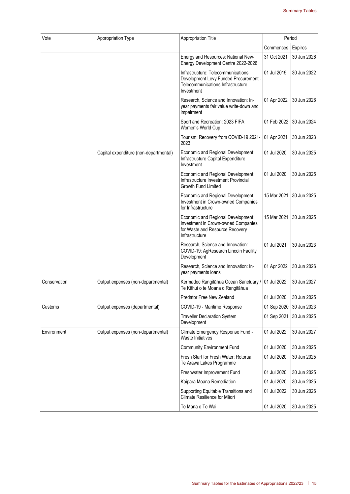| Vote         | Appropriation Type                     | Appropriation Title                                                                                                            | Period      |             |  |
|--------------|----------------------------------------|--------------------------------------------------------------------------------------------------------------------------------|-------------|-------------|--|
|              |                                        |                                                                                                                                | Commences   | Expires     |  |
|              |                                        | Energy and Resources: National New-<br>Energy Development Centre 2022-2026                                                     | 31 Oct 2021 | 30 Jun 2026 |  |
|              |                                        | Infrastructure: Telecommunications<br>Development Levy Funded Procurement -<br>Telecommunications Infrastructure<br>Investment | 01 Jul 2019 | 30 Jun 2022 |  |
|              |                                        | Research, Science and Innovation: In-<br>year payments fair value write-down and<br>impairment                                 | 01 Apr 2022 | 30 Jun 2026 |  |
|              |                                        | Sport and Recreation: 2023 FIFA<br>Women's World Cup                                                                           | 01 Feb 2022 | 30 Jun 2024 |  |
|              |                                        | Tourism: Recovery from COVID-19 2021-<br>2023                                                                                  | 01 Apr 2021 | 30 Jun 2023 |  |
|              | Capital expenditure (non-departmental) | Economic and Regional Development:<br>Infrastructure Capital Expenditure<br>Investment                                         | 01 Jul 2020 | 30 Jun 2025 |  |
|              |                                        | Economic and Regional Development:<br>Infrastructure Investment Provincial<br><b>Growth Fund Limited</b>                       | 01 Jul 2020 | 30 Jun 2025 |  |
|              |                                        | Economic and Regional Development:<br>Investment in Crown-owned Companies<br>for Infrastructure                                | 15 Mar 2021 | 30 Jun 2025 |  |
|              |                                        | Economic and Regional Development:<br>Investment in Crown-owned Companies<br>for Waste and Resource Recovery<br>Infrastructure | 15 Mar 2021 | 30 Jun 2025 |  |
|              |                                        | Research, Science and Innovation:<br>COVID-19: AgResearch Lincoln Facility<br>Development                                      | 01 Jul 2021 | 30 Jun 2023 |  |
|              |                                        | Research, Science and Innovation: In-<br>year payments loans                                                                   | 01 Apr 2022 | 30 Jun 2026 |  |
| Conservation | Output expenses (non-departmental)     | Kermadec Rangitāhua Ocean Sanctuary /<br>Te Kāhui o te Moana o Rangitāhua                                                      | 01 Jul 2022 | 30 Jun 2027 |  |
|              |                                        | Predator Free New Zealand                                                                                                      | 01 Jul 2020 | 30 Jun 2025 |  |
| Customs      | Output expenses (departmental)         | COVID-19 - Maritime Response                                                                                                   | 01 Sep 2020 | 30 Jun 2023 |  |
|              |                                        | <b>Traveller Declaration System</b><br>Development                                                                             | 01 Sep 2021 | 30 Jun 2025 |  |
| Environment  | Output expenses (non-departmental)     | Climate Emergency Response Fund -<br>Waste Initiatives                                                                         | 01 Jul 2022 | 30 Jun 2027 |  |
|              |                                        | <b>Community Environment Fund</b>                                                                                              | 01 Jul 2020 | 30 Jun 2025 |  |
|              |                                        | Fresh Start for Fresh Water: Rotorua<br>Te Arawa Lakes Programme                                                               | 01 Jul 2020 | 30 Jun 2025 |  |
|              |                                        | Freshwater Improvement Fund                                                                                                    | 01 Jul 2020 | 30 Jun 2025 |  |
|              |                                        | Kaipara Moana Remediation                                                                                                      | 01 Jul 2020 | 30 Jun 2025 |  |
|              |                                        | Supporting Equitable Transitions and<br>Climate Resilience for Māori                                                           | 01 Jul 2022 | 30 Jun 2026 |  |
|              |                                        | Te Mana o Te Wai                                                                                                               | 01 Jul 2020 | 30 Jun 2025 |  |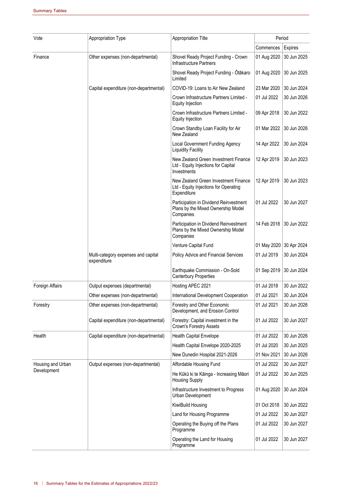| Vote              | Appropriation Type                                 | Appropriation Title                                                                          |                         | Period      |
|-------------------|----------------------------------------------------|----------------------------------------------------------------------------------------------|-------------------------|-------------|
|                   |                                                    |                                                                                              | Commences               | Expires     |
| Finance           | Other expenses (non-departmental)                  | Shovel Ready Project Funding - Crown<br><b>Infrastructure Partners</b>                       | 01 Aug 2020             | 30 Jun 2025 |
|                   |                                                    | Shovel Ready Project Funding - Ōtākaro<br>Limited                                            | 01 Aug 2020             | 30 Jun 2025 |
|                   | Capital expenditure (non-departmental)             | COVID-19: Loans to Air New Zealand                                                           | 23 Mar 2020             | 30 Jun 2024 |
|                   |                                                    | Crown Infrastructure Partners Limited -<br>Equity Injection                                  | 01 Jul 2022             | 30 Jun 2026 |
|                   |                                                    | Crown Infrastructure Partners Limited -<br>Equity Injection                                  | 09 Apr 2018             | 30 Jun 2022 |
|                   |                                                    | Crown Standby Loan Facility for Air<br>New Zealand                                           | 01 Mar 2022             | 30 Jun 2026 |
|                   |                                                    | Local Government Funding Agency<br><b>Liquidity Facility</b>                                 | 14 Apr 2022             | 30 Jun 2024 |
|                   |                                                    | New Zealand Green Investment Finance<br>Ltd - Equity Injections for Capital<br>Investments   | 12 Apr 2019             | 30 Jun 2023 |
|                   |                                                    | New Zealand Green Investment Finance<br>Ltd - Equity Injections for Operating<br>Expenditure | 12 Apr 2019             | 30 Jun 2023 |
|                   |                                                    | Participation in Dividend Reinvestment<br>Plans by the Mixed Ownership Model<br>Companies    | 01 Jul 2022             | 30 Jun 2027 |
|                   |                                                    | Participation in Dividend Reinvestment<br>Plans by the Mixed Ownership Model<br>Companies    | 14 Feb 2018             | 30 Jun 2022 |
|                   |                                                    | Venture Capital Fund                                                                         | 01 May 2020 30 Apr 2024 |             |
|                   | Multi-category expenses and capital<br>expenditure | Policy Advice and Financial Services                                                         | 01 Jul 2019             | 30 Jun 2024 |
|                   |                                                    | Earthquake Commission - On-Sold<br><b>Canterbury Properties</b>                              | 01 Sep 2019             | 30 Jun 2024 |
| Foreign Affairs   | Output expenses (departmental)                     | Hosting APEC 2021                                                                            | 01 Jul 2018             | 30 Jun 2022 |
|                   | Other expenses (non-departmental)                  | International Development Cooperation                                                        | 01 Jul 2021             | 30 Jun 2024 |
| Forestry          | Other expenses (non-departmental)                  | Forestry and Other Economic<br>Development, and Erosion Control                              | 01 Jul 2021             | 30 Jun 2026 |
|                   | Capital expenditure (non-departmental)             | Forestry: Capital investment in the<br>Crown's Forestry Assets                               | 01 Jul 2022             | 30 Jun 2027 |
| Health            | Capital expenditure (non-departmental)             | <b>Health Capital Envelope</b>                                                               | 01 Jul 2022             | 30 Jun 2026 |
|                   |                                                    | Health Capital Envelope 2020-2025                                                            | 01 Jul 2020             | 30 Jun 2025 |
|                   |                                                    | New Dunedin Hospital 2021-2026                                                               | 01 Nov 2021             | 30 Jun 2026 |
| Housing and Urban | Output expenses (non-departmental)                 | Affordable Housing Fund                                                                      | 01 Jul 2022             | 30 Jun 2027 |
| Development       |                                                    | He Kūkū ki te Kāinga - Increasing Māori<br><b>Housing Supply</b>                             | 01 Jul 2022             | 30 Jun 2025 |
|                   |                                                    | Infrastructure Investment to Progress<br>Urban Development                                   | 01 Aug 2020             | 30 Jun 2024 |
|                   |                                                    | KiwiBuild Housing                                                                            | 01 Oct 2018             | 30 Jun 2022 |
|                   |                                                    | Land for Housing Programme                                                                   | 01 Jul 2022             | 30 Jun 2027 |
|                   |                                                    | Operating the Buying off the Plans<br>Programme                                              | 01 Jul 2022             | 30 Jun 2027 |
|                   |                                                    | Operating the Land for Housing<br>Programme                                                  | 01 Jul 2022             | 30 Jun 2027 |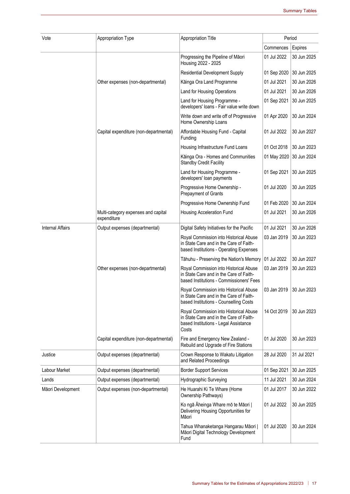| Vote                    | Appropriation Type                                 | <b>Appropriation Title</b>                                                                                                          | Period      |             |  |
|-------------------------|----------------------------------------------------|-------------------------------------------------------------------------------------------------------------------------------------|-------------|-------------|--|
|                         |                                                    |                                                                                                                                     | Commences   | Expires     |  |
|                         |                                                    | Progressing the Pipeline of Māori<br>Housing 2022 - 2025                                                                            | 01 Jul 2022 | 30 Jun 2025 |  |
|                         |                                                    | <b>Residential Development Supply</b>                                                                                               | 01 Sep 2020 | 30 Jun 2025 |  |
|                         | Other expenses (non-departmental)                  | Kāinga Ora Land Programme                                                                                                           | 01 Jul 2021 | 30 Jun 2026 |  |
|                         |                                                    | Land for Housing Operations                                                                                                         | 01 Jul 2021 | 30 Jun 2026 |  |
|                         |                                                    | Land for Housing Programme -<br>developers' loans - Fair value write down                                                           | 01 Sep 2021 | 30 Jun 2025 |  |
|                         |                                                    | Write down and write off of Progressive<br>Home Ownership Loans                                                                     | 01 Apr 2020 | 30 Jun 2024 |  |
|                         | Capital expenditure (non-departmental)             | Affordable Housing Fund - Capital<br>Funding                                                                                        | 01 Jul 2022 | 30 Jun 2027 |  |
|                         |                                                    | Housing Infrastructure Fund Loans                                                                                                   | 01 Oct 2018 | 30 Jun 2023 |  |
|                         |                                                    | Kāinga Ora - Homes and Communities<br><b>Standby Credit Facility</b>                                                                | 01 May 2020 | 30 Jun 2024 |  |
|                         |                                                    | Land for Housing Programme -<br>developers' loan payments                                                                           | 01 Sep 2021 | 30 Jun 2025 |  |
|                         |                                                    | Progressive Home Ownership -<br><b>Prepayment of Grants</b>                                                                         | 01 Jul 2020 | 30 Jun 2025 |  |
|                         |                                                    | Progressive Home Ownership Fund                                                                                                     | 01 Feb 2020 | 30 Jun 2024 |  |
|                         | Multi-category expenses and capital<br>expenditure | Housing Acceleration Fund                                                                                                           | 01 Jul 2021 | 30 Jun 2026 |  |
| <b>Internal Affairs</b> | Output expenses (departmental)                     | Digital Safety Initiatives for the Pacific                                                                                          | 01 Jul 2021 | 30 Jun 2026 |  |
|                         |                                                    | Royal Commission into Historical Abuse<br>in State Care and in the Care of Faith-<br>based Institutions - Operating Expenses        | 03 Jan 2019 | 30 Jun 2023 |  |
|                         |                                                    | Tāhuhu - Preserving the Nation's Memory                                                                                             | 01 Jul 2022 | 30 Jun 2027 |  |
|                         | Other expenses (non-departmental)                  | Royal Commission into Historical Abuse<br>in State Care and in the Care of Faith-<br>based Institutions - Commissioners' Fees       | 03 Jan 2019 | 30 Jun 2023 |  |
|                         |                                                    | Royal Commission into Historical Abuse<br>in State Care and in the Care of Faith-<br>based Institutions - Counselling Costs         | 03 Jan 2019 | 30 Jun 2023 |  |
|                         |                                                    | Royal Commission into Historical Abuse<br>in State Care and in the Care of Faith-<br>based Institutions - Legal Assistance<br>Costs | 14 Oct 2019 | 30 Jun 2023 |  |
|                         | Capital expenditure (non-departmental)             | Fire and Emergency New Zealand -<br>Rebuild and Upgrade of Fire Stations                                                            | 01 Jul 2020 | 30 Jun 2023 |  |
| Justice                 | Output expenses (departmental)                     | Crown Response to Wakatu Litigation<br>and Related Proceedings                                                                      | 28 Jul 2020 | 31 Jul 2021 |  |
| Labour Market           | Output expenses (departmental)                     | <b>Border Support Services</b>                                                                                                      | 01 Sep 2021 | 30 Jun 2025 |  |
| Lands                   | Output expenses (departmental)                     | <b>Hydrographic Surveying</b>                                                                                                       | 11 Jul 2021 | 30 Jun 2024 |  |
| Māori Development       | Output expenses (non-departmental)                 | He Huarahi Ki Te Whare (Home<br>Ownership Pathways)                                                                                 | 01 Jul 2017 | 30 Jun 2022 |  |
|                         |                                                    | Ko ngā Āheinga Whare mō te Māori  <br>Delivering Housing Opportunities for<br>Māori                                                 | 01 Jul 2022 | 30 Jun 2025 |  |
|                         |                                                    | Tahua Whanaketanga Hangarau Māori  <br>Māori Digital Technology Development<br>Fund                                                 | 01 Jul 2020 | 30 Jun 2024 |  |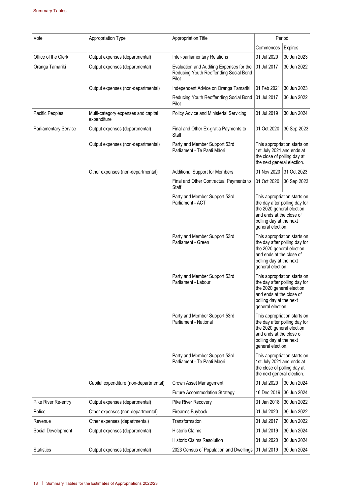| Vote                                   | Appropriation Type                                               | <b>Appropriation Title</b>                                                                                          | Period                                                                                                                                                                 |                            |
|----------------------------------------|------------------------------------------------------------------|---------------------------------------------------------------------------------------------------------------------|------------------------------------------------------------------------------------------------------------------------------------------------------------------------|----------------------------|
|                                        |                                                                  |                                                                                                                     | Commences                                                                                                                                                              | Expires                    |
| Office of the Clerk<br>Oranga Tamariki | Output expenses (departmental)<br>Output expenses (departmental) | Inter-parliamentary Relations<br>Evaluation and Auditing Expenses for the<br>Reducing Youth Reoffending Social Bond | 01 Jul 2020<br>01 Jul 2017                                                                                                                                             | 30 Jun 2023<br>30 Jun 2022 |
|                                        | Output expenses (non-departmental)                               | Pilot<br>Independent Advice on Oranga Tamariki                                                                      | 01 Feb 2021                                                                                                                                                            | 30 Jun 2023                |
|                                        |                                                                  | Reducing Youth Reoffending Social Bond                                                                              | 01 Jul 2017                                                                                                                                                            | 30 Jun 2022                |
|                                        |                                                                  | Pilot                                                                                                               |                                                                                                                                                                        |                            |
| Pacific Peoples                        | Multi-category expenses and capital<br>expenditure               | Policy Advice and Ministerial Servicing                                                                             | 01 Jul 2019                                                                                                                                                            | 30 Jun 2024                |
| <b>Parliamentary Service</b>           | Output expenses (departmental)                                   | Final and Other Ex-gratia Payments to<br>Staff                                                                      | 01 Oct 2020                                                                                                                                                            | 30 Sep 2023                |
|                                        | Output expenses (non-departmental)                               | Party and Member Support 53rd<br>Parliament - Te Paati Māori                                                        | This appropriation starts on<br>1st July 2021 and ends at<br>the close of polling day at<br>the next general election.                                                 |                            |
|                                        | Other expenses (non-departmental)                                | <b>Additional Support for Members</b>                                                                               | 01 Nov 2020                                                                                                                                                            | 31 Oct 2023                |
|                                        |                                                                  | Final and Other Contractual Payments to<br>Staff                                                                    | 01 Oct 2020                                                                                                                                                            | 30 Sep 2023                |
|                                        |                                                                  | Party and Member Support 53rd<br>Parliament - ACT                                                                   | This appropriation starts on<br>the day after polling day for<br>the 2020 general election<br>and ends at the close of<br>polling day at the next<br>general election. |                            |
|                                        |                                                                  | Party and Member Support 53rd<br>Parliament - Green                                                                 | This appropriation starts on<br>the day after polling day for<br>the 2020 general election<br>and ends at the close of<br>polling day at the next<br>general election. |                            |
|                                        |                                                                  | Party and Member Support 53rd<br>Parliament - Labour                                                                | This appropriation starts on<br>the day after polling day for<br>the 2020 general election<br>and ends at the close of<br>polling day at the next<br>general election. |                            |
|                                        |                                                                  | Party and Member Support 53rd<br>Parliament - National                                                              | This appropriation starts on<br>the day after polling day for<br>the 2020 general election<br>and ends at the close of<br>polling day at the next<br>general election. |                            |
|                                        |                                                                  | Party and Member Support 53rd<br>Parliament - Te Paati Māori                                                        | This appropriation starts on<br>1st July 2021 and ends at<br>the close of polling day at<br>the next general election.                                                 |                            |
|                                        | Capital expenditure (non-departmental)                           | Crown Asset Management                                                                                              | 01 Jul 2020                                                                                                                                                            | 30 Jun 2024                |
|                                        |                                                                  | <b>Future Accommodation Strategy</b>                                                                                | 16 Dec 2019                                                                                                                                                            | 30 Jun 2024                |
| Pike River Re-entry                    | Output expenses (departmental)                                   | Pike River Recovery                                                                                                 | 31 Jan 2018                                                                                                                                                            | 30 Jun 2022                |
| Police                                 | Other expenses (non-departmental)                                | Firearms Buyback                                                                                                    | 01 Jul 2020                                                                                                                                                            | 30 Jun 2022                |
| Revenue                                | Other expenses (departmental)                                    | Transformation                                                                                                      | 01 Jul 2017                                                                                                                                                            | 30 Jun 2022                |
| Social Development                     | Output expenses (departmental)                                   | <b>Historic Claims</b>                                                                                              | 01 Jul 2019                                                                                                                                                            | 30 Jun 2024                |
|                                        |                                                                  | <b>Historic Claims Resolution</b>                                                                                   | 01 Jul 2020                                                                                                                                                            | 30 Jun 2024                |
| <b>Statistics</b>                      | Output expenses (departmental)                                   | 2023 Census of Population and Dwellings 01 Jul 2019                                                                 |                                                                                                                                                                        | 30 Jun 2024                |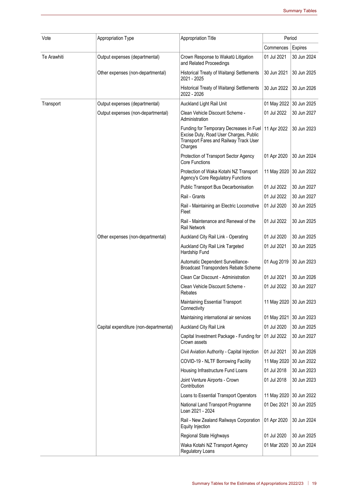| Vote        | Appropriation Type                     | Appropriation Title                                                                                                                    | Period                  |             |
|-------------|----------------------------------------|----------------------------------------------------------------------------------------------------------------------------------------|-------------------------|-------------|
|             |                                        |                                                                                                                                        | Commences               | Expires     |
| Te Arawhiti | Output expenses (departmental)         | Crown Response to Wakatū Litigation<br>and Related Proceedings                                                                         | 01 Jul 2021             | 30 Jun 2024 |
|             | Other expenses (non-departmental)      | Historical Treaty of Waitangi Settlements<br>2021 - 2025                                                                               | 30 Jun 2021             | 30 Jun 2025 |
|             |                                        | Historical Treaty of Waitangi Settlements<br>2022 - 2026                                                                               | 30 Jun 2022             | 30 Jun 2026 |
| Transport   | Output expenses (departmental)         | Auckland Light Rail Unit                                                                                                               | 01 May 2022             | 30 Jun 2025 |
|             | Output expenses (non-departmental)     | Clean Vehicle Discount Scheme -<br>Administration                                                                                      | 01 Jul 2022             | 30 Jun 2027 |
|             |                                        | Funding for Temporary Decreases in Fuel<br>Excise Duty, Road User Charges, Public<br>Transport Fares and Railway Track User<br>Charges | 11 Apr 2022             | 30 Jun 2023 |
|             |                                        | Protection of Transport Sector Agency<br><b>Core Functions</b>                                                                         | 01 Apr 2020             | 30 Jun 2024 |
|             |                                        | Protection of Waka Kotahi NZ Transport<br><b>Agency's Core Regulatory Functions</b>                                                    | 11 May 2020             | 30 Jun 2022 |
|             |                                        | Public Transport Bus Decarbonisation                                                                                                   | 01 Jul 2022             | 30 Jun 2027 |
|             |                                        | Rail - Grants                                                                                                                          | 01 Jul 2022             | 30 Jun 2027 |
|             |                                        | Rail - Maintaining an Electric Locomotive<br>Fleet                                                                                     | 01 Jul 2020             | 30 Jun 2025 |
|             |                                        | Rail - Maintenance and Renewal of the<br>Rail Network                                                                                  | 01 Jul 2022             | 30 Jun 2025 |
|             | Other expenses (non-departmental)      | Auckland City Rail Link - Operating                                                                                                    | 01 Jul 2020             | 30 Jun 2025 |
|             |                                        | Auckland City Rail Link Targeted<br>Hardship Fund                                                                                      | 01 Jul 2021             | 30 Jun 2025 |
|             |                                        | Automatic Dependent Surveillance-<br>Broadcast Transponders Rebate Scheme                                                              | 01 Aug 2019             | 30 Jun 2023 |
|             |                                        | Clean Car Discount - Administration                                                                                                    | 01 Jul 2021             | 30 Jun 2026 |
|             |                                        | Clean Vehicle Discount Scheme -<br>Rebates                                                                                             | 01 Jul 2022             | 30 Jun 2027 |
|             |                                        | Maintaining Essential Transport<br>Connectivity                                                                                        | 11 May 2020 30 Jun 2023 |             |
|             |                                        | Maintaining international air services                                                                                                 | 01 May 2021             | 30 Jun 2023 |
|             | Capital expenditure (non-departmental) | Auckland City Rail Link                                                                                                                | 01 Jul 2020             | 30 Jun 2025 |
|             |                                        | Capital Investment Package - Funding for<br>Crown assets                                                                               | 01 Jul 2022             | 30 Jun 2027 |
|             |                                        | Civil Aviation Authority - Capital Injection                                                                                           | 01 Jul 2021             | 30 Jun 2026 |
|             |                                        | COVID-19 - NLTF Borrowing Facility                                                                                                     | 11 May 2020             | 30 Jun 2022 |
|             |                                        | Housing Infrastructure Fund Loans                                                                                                      | 01 Jul 2018             | 30 Jun 2023 |
|             |                                        | Joint Venture Airports - Crown<br>Contribution                                                                                         | 01 Jul 2018             | 30 Jun 2023 |
|             |                                        | Loans to Essential Transport Operators                                                                                                 | 11 May 2020             | 30 Jun 2022 |
|             |                                        | National Land Transport Programme<br>Loan 2021 - 2024                                                                                  | 01 Dec 2021             | 30 Jun 2025 |
|             |                                        | Rail - New Zealand Railways Corporation<br>Equity Injection                                                                            | 01 Apr 2020             | 30 Jun 2024 |
|             |                                        | Regional State Highways                                                                                                                | 01 Jul 2020             | 30 Jun 2025 |
|             |                                        | Waka Kotahi NZ Transport Agency<br>Regulatory Loans                                                                                    | 01 Mar 2020             | 30 Jun 2024 |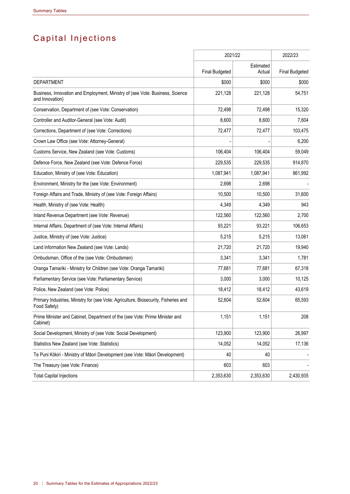# Capital Injections

|                                                                                                     | 2021/22               |                     | 2022/23               |
|-----------------------------------------------------------------------------------------------------|-----------------------|---------------------|-----------------------|
|                                                                                                     | <b>Final Budgeted</b> | Estimated<br>Actual | <b>Final Budgeted</b> |
| <b>DEPARTMENT</b>                                                                                   | \$000                 | \$000               | \$000                 |
| Business, Innovation and Employment, Ministry of (see Vote: Business, Science<br>and Innovation)    | 221,128               | 221,128             | 54,751                |
| Conservation, Department of (see Vote: Conservation)                                                | 72,498                | 72,498              | 15,320                |
| Controller and Auditor-General (see Vote: Audit)                                                    | 8,600                 | 8,600               | 7,604                 |
| Corrections, Department of (see Vote: Corrections)                                                  | 72,477                | 72,477              | 103,475               |
| Crown Law Office (see Vote: Attorney-General)                                                       |                       |                     | 6,200                 |
| Customs Service, New Zealand (see Vote: Customs)                                                    | 106,404               | 106,404             | 59,049                |
| Defence Force, New Zealand (see Vote: Defence Force)                                                | 229,535               | 229,535             | 914,870               |
| Education, Ministry of (see Vote: Education)                                                        | 1,087,941             | 1,087,941           | 861,992               |
| Environment, Ministry for the (see Vote: Environment)                                               | 2,698                 | 2,698               |                       |
| Foreign Affairs and Trade, Ministry of (see Vote: Foreign Affairs)                                  | 10,500                | 10,500              | 31,600                |
| Health, Ministry of (see Vote: Health)                                                              | 4,349                 | 4,349               | 943                   |
| Inland Revenue Department (see Vote: Revenue)                                                       | 122,560               | 122,560             | 2,700                 |
| Internal Affairs, Department of (see Vote: Internal Affairs)                                        | 93,221                | 93,221              | 106,653               |
| Justice, Ministry of (see Vote: Justice)                                                            | 5,215                 | 5,215               | 13,061                |
| Land Information New Zealand (see Vote: Lands)                                                      | 21,720                | 21,720              | 19,940                |
| Ombudsman, Office of the (see Vote: Ombudsmen)                                                      | 3,341                 | 3,341               | 1,781                 |
| Oranga Tamariki - Ministry for Children (see Vote: Oranga Tamariki)                                 | 77,681                | 77,681              | 67,318                |
| Parliamentary Service (see Vote: Parliamentary Service)                                             | 3,000                 | 3,000               | 10,125                |
| Police, New Zealand (see Vote: Police)                                                              | 18,412                | 18,412              | 43,619                |
| Primary Industries, Ministry for (see Vote: Agriculture, Biosecurity, Fisheries and<br>Food Safety) | 52,604                | 52,604              | 65,593                |
| Prime Minister and Cabinet, Department of the (see Vote: Prime Minister and<br>Cabinet)             | 1,151                 | 1,151               | 208                   |
| Social Development, Ministry of (see Vote: Social Development)                                      | 123,900               | 123,900             | 26,997                |
| Statistics New Zealand (see Vote: Statistics)                                                       | 14,052                | 14,052              | 17,136                |
| Te Puni Kōkiri - Ministry of Māori Development (see Vote: Māori Development)                        | 40                    | 40                  |                       |
| The Treasury (see Vote: Finance)                                                                    | 603                   | 603                 |                       |
| <b>Total Capital Injections</b>                                                                     | 2,353,630             | 2,353,630           | 2,430,935             |